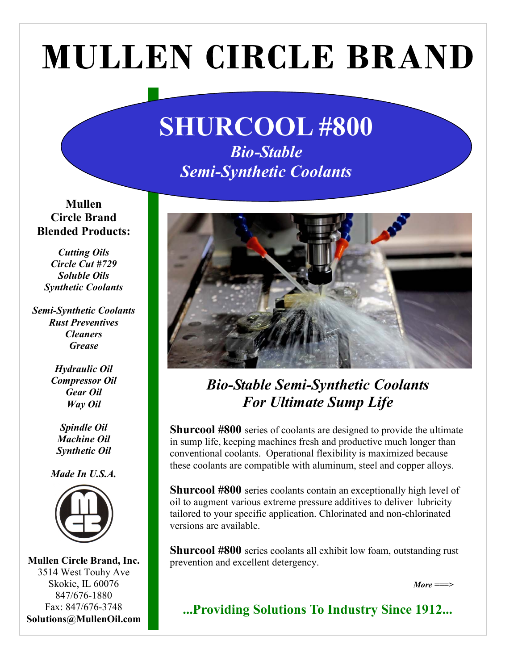# **MULLEN CIRCLE BRAND**

## SHURCOOL #800 Bio-Stable Semi-Synthetic Coolants

Mullen Circle Brand Blended Products:

Cutting Oils Circle Cut #729 Soluble Oils Synthetic Coolants

Semi-Synthetic Coolants Rust Preventives **Cleaners Grease** 

> Hydraulic Oil Compressor Oil Gear Oil Way Oil

Spindle Oil Machine Oil Synthetic Oil

Made In U.S.A.



Mullen Circle Brand, Inc. 3514 West Touhy Ave Skokie, IL 60076 847/676-1880 Fax: 847/676-3748 Solutions@MullenOil.com



### Bio-Stable Semi-Synthetic Coolants For Ultimate Sump Life

**Shurcool #800** series of coolants are designed to provide the ultimate in sump life, keeping machines fresh and productive much longer than conventional coolants. Operational flexibility is maximized because these coolants are compatible with aluminum, steel and copper alloys.

Shurcool #800 series coolants contain an exceptionally high level of oil to augment various extreme pressure additives to deliver lubricity tailored to your specific application. Chlorinated and non-chlorinated versions are available.

Shurcool #800 series coolants all exhibit low foam, outstanding rust prevention and excellent detergency.

 $More = = >$ 

...Providing Solutions To Industry Since 1912...